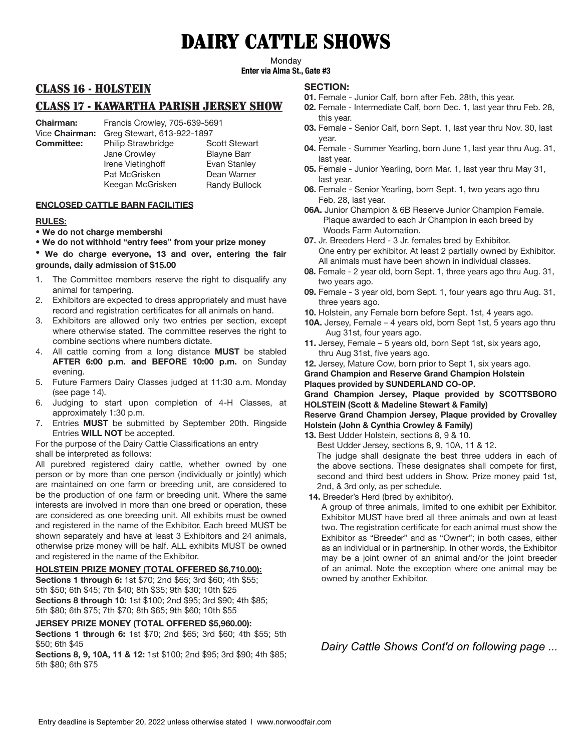# DAIRY CATTLE SHOWS

**Monday** 

**Enter via Alma St., Gate #3**

## CLASS 16 - HOLSTEIN

## CLASS 17 - KAWARTHA PARISH JERSEY SHOW

Vice **Chairman:** Greg Stewart, 613-922-1897

**Chairman:** Francis Crowley, 705-639-5691

**Committee:** Philip Strawbridge Scott Stewart Jane Crowley Irene Vietinghoff Pat McGrisken Keegan McGrisken

Blayne Barr Evan Stanley Dean Warner Randy Bullock

### **ENCLOSED CATTLE BARN FACILITIES**

### **RULES:**

- **We do not charge membershi**
- **We do not withhold "entry fees" from your prize money**

**• We do charge everyone, 13 and over, entering the fai**r **grounds, daily admission of \$1**5**.00**

- 1. The Committee members reserve the right to disqualify any animal for tampering.
- 2. Exhibitors are expected to dress appropriately and must have record and registration certificates for all animals on hand.
- 3. Exhibitors are allowed only two entries per section, except where otherwise stated. The committee reserves the right to combine sections where numbers dictate.
- 4. All cattle coming from a long distance **MUST** be stabled **AFTER 6:00 p.m. and BEFORE 10:00 p.m.** on Sunday evening.
- 5. Future Farmers Dairy Classes judged at 11:30 a.m. Monday (see page 14).
- 6. Judging to start upon completion of 4-H Classes, at approximately 1:30 p.m.
- 7. Entries **MUST** be submitted by September 20th. Ringside Entries **WILL NOT** be accepted.

For the purpose of the Dairy Cattle Classifications an entry shall be interpreted as follows:

All purebred registered dairy cattle, whether owned by one person or by more than one person (individually or jointly) which are maintained on one farm or breeding unit, are considered to be the production of one farm or breeding unit. Where the same interests are involved in more than one breed or operation, these are considered as one breeding unit. All exhibits must be owned and registered in the name of the Exhibitor. Each breed MUST be shown separately and have at least 3 Exhibitors and 24 animals, otherwise prize money will be half. ALL exhibits MUST be owned and registered in the name of the Exhibitor.

#### **HOLSTEIN PRIZE MONEY (TOTAL OFFERED \$6,710.00):**

**Sections 1 through 6:** 1st \$70; 2nd \$65; 3rd \$60; 4th \$55; 5th \$50; 6th \$45; 7th \$40; 8th \$35; 9th \$30; 10th \$25 **Sections 8 through 10:** 1st \$100; 2nd \$95; 3rd \$90; 4th \$85; 5th \$80; 6th \$75; 7th \$70; 8th \$65; 9th \$60; 10th \$55

#### **JERSEY PRIZE MONEY (TOTAL OFFERED \$5,960.00):**

**Sections 1 through 6:** 1st \$70; 2nd \$65; 3rd \$60; 4th \$55; 5th \$50; 6th \$45

**Sections 8, 9, 10A, 11 & 12:** 1st \$100; 2nd \$95; 3rd \$90; 4th \$85; 5th \$80; 6th \$75

#### **SECTION:**

- **01.** Female Junior Calf, born after Feb. 28th, this year.
- **02.** Female Intermediate Calf, born Dec. 1, last year thru Feb. 28, this year.
- **03.** Female Senior Calf, born Sept. 1, last year thru Nov. 30, last year.
- **04.** Female Summer Yearling, born June 1, last year thru Aug. 31, last year.
- **05.** Female Junior Yearling, born Mar. 1, last year thru May 31, last year.
- **06.** Female Senior Yearling, born Sept. 1, two years ago thru Feb. 28, last year.
- **06A.** Junior Champion & 6B Reserve Junior Champion Female. Plaque awarded to each Jr Champion in each breed by Woods Farm Automation.
- **07.** Jr. Breeders Herd 3 Jr. females bred by Exhibitor. One entry per exhibitor. At least 2 partially owned by Exhibitor. All animals must have been shown in individual classes.
- **08.** Female 2 year old, born Sept. 1, three years ago thru Aug. 31, two years ago.
- **09.** Female 3 year old, born Sept. 1, four years ago thru Aug. 31, three years ago.
- **10.** Holstein, any Female born before Sept. 1st, 4 years ago.
- **10A.** Jersey, Female 4 years old, born Sept 1st, 5 years ago thru Aug 31st, four years ago.
- **11.** Jersey, Female 5 years old, born Sept 1st, six years ago, thru Aug 31st, five years ago.

**12.** Jersey, Mature Cow, born prior to Sept 1, six years ago.

**Grand Champion and Reserve Grand Champion Holstein**

**Plaques provided by SUNDERLAND CO-OP.**

**Grand Champion Jersey, Plaque provided by SCOTTSBORO HOLSTEIN (Scott & Madeline Stewart & Family)**

**Reserve Grand Champion Jersey, Plaque provided by Crovalley Holstein (John & Cynthia Crowley & Family)**

**13.** Best Udder Holstein, sections 8, 9 & 10.

Best Udder Jersey, sections 8, 9, 10A, 11 & 12.

The judge shall designate the best three udders in each of the above sections. These designates shall compete for first, second and third best udders in Show. Prize money paid 1st, 2nd, & 3rd only, as per schedule.

**14.** Breeder's Herd (bred by exhibitor).

A group of three animals, limited to one exhibit per Exhibitor. Exhibitor MUST have bred all three animals and own at least two. The registration certificate for each animal must show the Exhibitor as "Breeder" and as "Owner"; in both cases, either as an individual or in partnership. In other words, the Exhibitor may be a joint owner of an animal and/or the joint breeder of an animal. Note the exception where one animal may be owned by another Exhibitor.

*Dairy Cattle Shows Cont'd on following page ...*